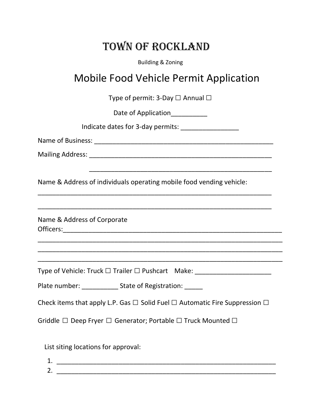## Town of Rockland

Building & Zoning

## Mobile Food Vehicle Permit Application

Type of permit: 3-Day  $\Box$  Annual  $\Box$ 

Date of Application

\_\_\_\_\_\_\_\_\_\_\_\_\_\_\_\_\_\_\_\_\_\_\_\_\_\_\_\_\_\_\_\_\_\_\_\_\_\_\_\_\_\_\_\_\_\_\_\_\_\_

\_\_\_\_\_\_\_\_\_\_\_\_\_\_\_\_\_\_\_\_\_\_\_\_\_\_\_\_\_\_\_\_\_\_\_\_\_\_\_\_\_\_\_\_\_\_\_\_\_\_\_\_\_\_\_\_\_\_\_\_\_\_\_\_

\_\_\_\_\_\_\_\_\_\_\_\_\_\_\_\_\_\_\_\_\_\_\_\_\_\_\_\_\_\_\_\_\_\_\_\_\_\_\_\_\_\_\_\_\_\_\_\_\_\_\_\_\_\_\_\_\_\_\_\_\_\_\_\_

\_\_\_\_\_\_\_\_\_\_\_\_\_\_\_\_\_\_\_\_\_\_\_\_\_\_\_\_\_\_\_\_\_\_\_\_\_\_\_\_\_\_\_\_\_\_\_\_\_\_\_\_\_\_\_\_\_\_\_\_\_\_\_\_\_\_\_ \_\_\_\_\_\_\_\_\_\_\_\_\_\_\_\_\_\_\_\_\_\_\_\_\_\_\_\_\_\_\_\_\_\_\_\_\_\_\_\_\_\_\_\_\_\_\_\_\_\_\_\_\_\_\_\_\_\_\_\_\_\_\_\_\_\_\_ \_\_\_\_\_\_\_\_\_\_\_\_\_\_\_\_\_\_\_\_\_\_\_\_\_\_\_\_\_\_\_\_\_\_\_\_\_\_\_\_\_\_\_\_\_\_\_\_\_\_\_\_\_\_\_\_\_\_\_\_\_\_\_\_\_\_\_

Indicate dates for 3-day permits: \_\_\_\_\_\_\_\_\_\_\_\_\_\_\_\_

Name of Business: \_\_\_\_\_\_\_\_\_\_\_\_\_\_\_\_\_\_\_\_\_\_\_\_\_\_\_\_\_\_\_\_\_\_\_\_\_\_\_\_\_\_\_\_\_\_\_\_\_

Mailing Address: \_\_\_\_\_\_\_\_\_\_\_\_\_\_\_\_\_\_\_\_\_\_\_\_\_\_\_\_\_\_\_\_\_\_\_\_\_\_\_\_\_\_\_\_\_\_\_\_\_\_

Name & Address of individuals operating mobile food vending vehicle:

Name & Address of Corporate Officers:\_\_\_\_\_\_\_\_\_\_\_\_\_\_\_\_\_\_\_\_\_\_\_\_\_\_\_\_\_\_\_\_\_\_\_\_\_\_\_\_\_\_\_\_\_\_\_\_\_\_\_\_\_\_\_\_\_\_\_\_

Type of Vehicle: Truck □ Trailer □ Pushcart Make: \_\_\_\_\_\_\_\_\_\_\_\_\_\_\_\_\_\_\_\_\_\_\_\_\_\_\_\_\_\_

Plate number: State of Registration:

Check items that apply L.P. Gas  $\Box$  Solid Fuel  $\Box$  Automatic Fire Suppression  $\Box$ 

Griddle □ Deep Fryer □ Generator; Portable □ Truck Mounted □

List siting locations for approval:

| ◢ | ᆠ.                        |  |
|---|---------------------------|--|
|   | ⌒<br><u>.</u><br>________ |  |